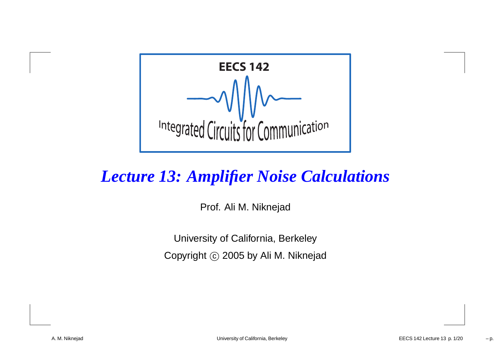

#### *Lecture 13: Amplifier Noise Calculations*

Prof. Ali M. Niknejad

University of California, BerkeleyCopyright  $\odot$  2005 by Ali M. Niknejad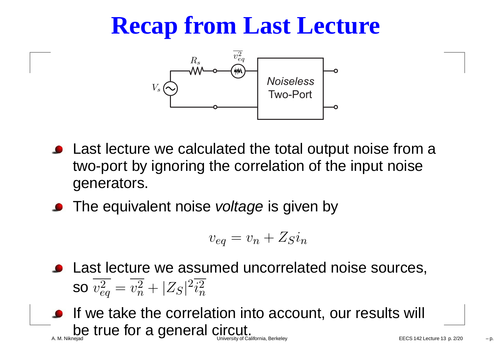## **Recap from Last Lecture**



- Last lecture we calculated the total output noise from <sup>a</sup>two-port by ignoring the correlation of the input noisegenerators.
- The equivalent noise *voltage* is given by

$$
v_{eq} = v_n + Z_S i_n
$$

- **•** Last lecture we assumed uncorrelated noise sources, SO  $v_{\rm e}^2$  $\overset{2}{eq}=v_n^2$  $n^2 + |Z_S|^2$  $\frac{2}{i^2}$  $\, n \,$
- **If we take the correlation into account, our results will** be true for a general circut. University of California, Berkeley **EXALIFORD 120 CONVERTS** EECS 142 Lecture 13 p. 2/20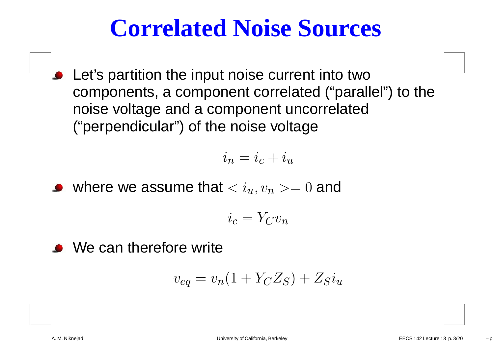#### **Correlated Noise Sources**

Let's partition the input noise current into two components, <sup>a</sup> component correlated ("parallel") to thenoise voltage and <sup>a</sup> component uncorrelated("perpendicular") of the noise voltage

$$
i_n = i_c + i_u
$$

where we assume that  $< i_u,v_n>=0$  and

$$
i_c = Y_C v_n
$$

**We can therefore write** 

$$
v_{eq} = v_n(1 + Y_C Z_S) + Z_S i_u
$$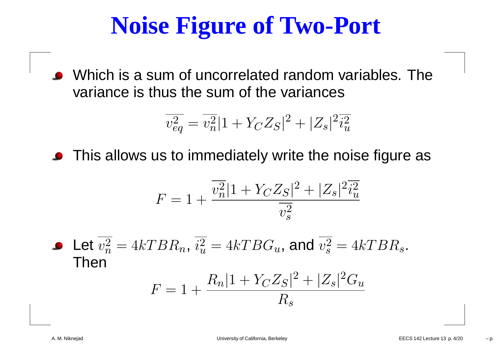#### **Noise Figure of Two-Port**

Which is <sup>a</sup> sum of uncorrelated random variables. Thevariance is thus the sum of the variances

$$
\overline{v_{eq}^2} = \overline{v_n^2} |1 + Y_C Z_S|^2 + |Z_s|^2 \overline{i_u^2}
$$

**•** This allows us to immediately write the noise figure as

$$
F = 1 + \frac{\overline{v_n^2} |1 + Y_C Z_S|^2 + |Z_s|^2 \overline{i_u^2}}{\overline{v_s^2}}
$$

Let  $v_{\infty}^2$  Then $\, n \,$  $\frac{2}{n} = 4kTBR$  $_n, \, i_u^2$  $u\$  $\omega_u^2=4kTBG_u$ , and  $v_s^2$  s $s = 4kTBR$  $s\,$  .

$$
F = 1 + \frac{R_n |1 + Y_C Z_S|^2 + |Z_s|^2 G_u}{R_s}
$$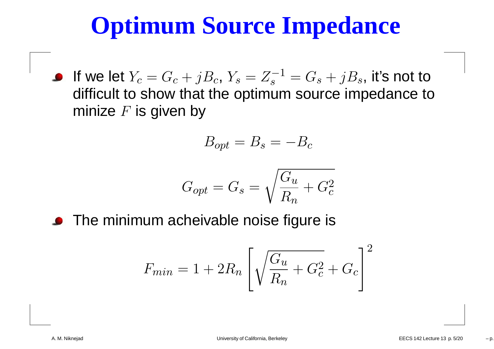# **Optimum Source Impedance**

 $_c,\,Y_s=Z_s^{-1}$ If we let  $Y_c = G_c + jB$  $\sigma_s^{-1} = G_s + j B_s$ , it's not to  $\bullet$  difficult to show that the optimum source impedance tominize  $F$  is given by

$$
B_{opt} = B_s = -B_c
$$

$$
G_{opt} = G_s = \sqrt{\frac{G_u}{R_n} + G_c^2}
$$

**•** The minimum acheivable noise figure is

$$
F_{min} = 1 + 2R_n \left[ \sqrt{\frac{G_u}{R_n} + G_c^2} + G_c \right]^2
$$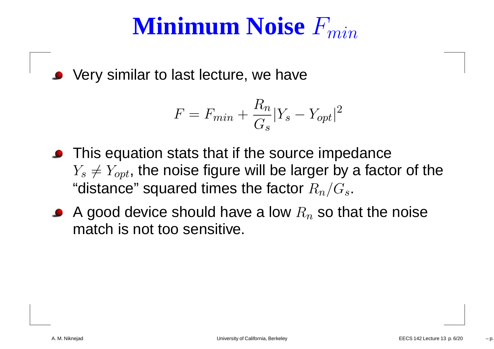# $\mathbf{Minimum}\ \mathbf{Noise}\ F_{min}$

• Very similar to last lecture, we have

$$
F = F_{min} + \frac{R_n}{G_s} |Y_s - Y_{opt}|^2
$$

- **•** This equation stats that if the source impedance  $Y_s\neq Y_{opt},$  the noise figure will be larger by a factor of the "distance" squared times the factor  $R_n/G_s.$
- A good device should have a low  $R_n$  $_n$  so that the noise match is not too sensitive.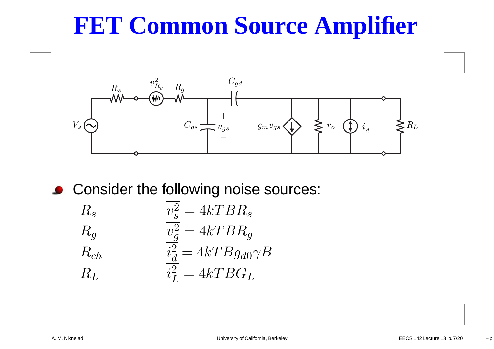# **FET Common Source Amplifier**



**Consider the following noise sources:** 

$$
R_s
$$
\n
$$
R_g
$$
\n
$$
R_g
$$
\n
$$
R_{ch}
$$
\n
$$
\frac{v_g^2}{v_g^2} = 4kTBR_g
$$
\n
$$
R_{ch}
$$
\n
$$
\frac{i_d^2}{i_L^2} = 4kTBG_L
$$
\n
$$
R_L
$$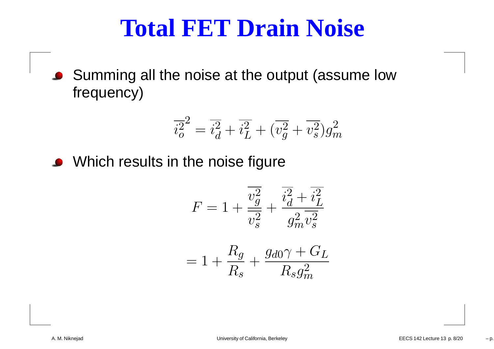#### **Total FET Drain Noise**

■ Summing all the noise at the output (assume low frequency)

$$
\overline{i_o^2}^2 = \overline{i_d^2} + \overline{i_L^2} + (\overline{v_g^2} + \overline{v_s^2})g_m^2
$$

• Which results in the noise figure

$$
F = 1 + \frac{\overline{v_g^2}}{\overline{v_s^2}} + \frac{\overline{i_d^2} + \overline{i_L^2}}{g_m^2 \overline{v_s^2}}
$$

$$
= 1 + \frac{R_g}{R_s} + \frac{g_{d0}\gamma + G_L}{R_s g_m^2}
$$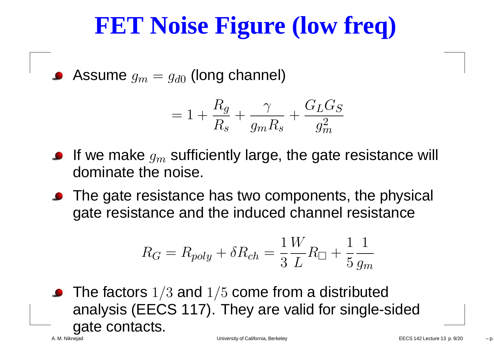# **FET Noise Figure (low freq)**

Assume  $g_m=g_{d0}$  $_{\rm 0}$  (long channel)

$$
=1+\frac{R_g}{R_s}+\frac{\gamma}{g_mR_s}+\frac{G_LG_S}{g_m^2}
$$

- If we make  $g_m$  dominate the noise.  $\epsilon_m$  sufficiently large, the gate resistance will<br>
- The gate resistance has two components, the physical gate resistance and the induced channel resistance

$$
R_G = R_{poly} + \delta R_{ch} = \frac{1}{3} \frac{W}{L} R_{\square} + \frac{1}{5} \frac{1}{g_m}
$$

The factors  $1/3$  and  $1/5$  come from a distributed analysis (EECS 117). They are valid for single-sidedgate contacts.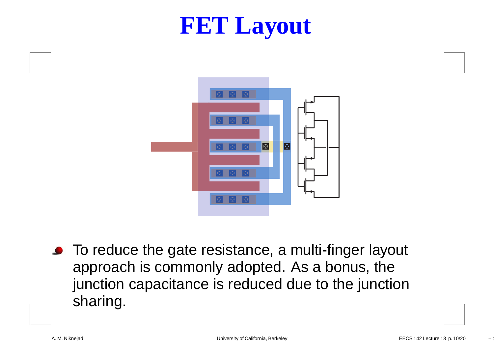#### **FET Layout**



● To reduce the gate resistance, a multi-finger layout approach is commonly adopted. As <sup>a</sup> bonus, the junction capacitance is reduced due to the junctionsharing.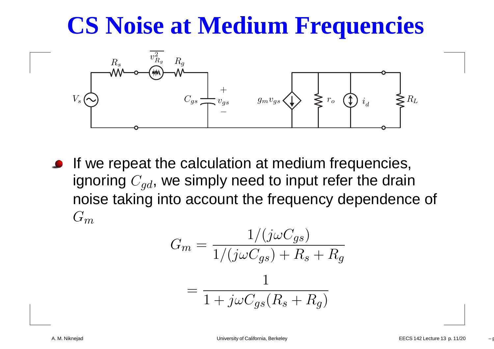# **CS Noise at Medium Frequencies**



**If we repeat the calculation at medium frequencies,** ignoring  $C_{gd}$ , we simply need to input refer the drain noise taking into account the frequency dependence of  $G_m$ 

$$
G_m = \frac{1/(j\omega C_{gs})}{1/(j\omega C_{gs}) + R_s + R_g}
$$

$$
= \frac{1}{1 + j\omega C_{gs}(R_s + R_g)}
$$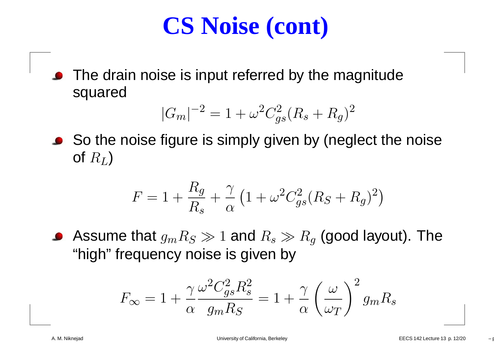# **CS Noise (cont)**

The drain noise is input referred by the magnitude squared

$$
|G_m|^{-2} = 1 + \omega^2 C_{gs}^2 (R_s + R_g)^2
$$

So the noise figure is simply given by (neglect the noiseof  $R_L)$ 

$$
F = 1 + \frac{R_g}{R_s} + \frac{\gamma}{\alpha} \left( 1 + \omega^2 C_{gs}^2 (R_S + R_g)^2 \right)
$$

Assume that  $g_mR_S\gg1$  and  $R_s\gg R_g$  (good layout). The  $\bigcap$ . . . . . . "high" frequency noise is given by

$$
F_{\infty} = 1 + \frac{\gamma}{\alpha} \frac{\omega^2 C_{gs}^2 R_s^2}{g_m R_S} = 1 + \frac{\gamma}{\alpha} \left(\frac{\omega}{\omega_T}\right)^2 g_m R_s
$$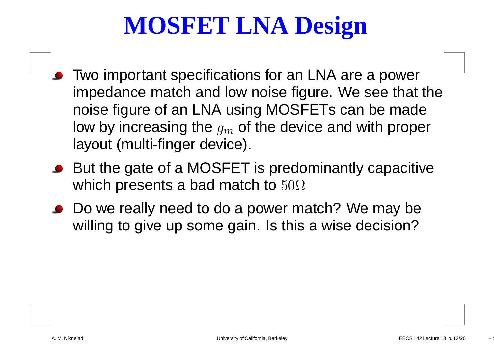# **MOSFET LNA Design**

- **•** Two important specifications for an LNA are a power impedance match and low noise figure. We see that thenoise figure of an LNA using MOSFETs can be madelow by increasing the  $g_m$  of the device and with prop $\epsilon$  layout (multi-finger device).  $\epsilon_m$  of the device and with proper<br>ies)
- But the gate of a MOSFET is predominantly capacitive which presents a bad match to  $50\Omega$
- Do we really need to do <sup>a</sup> power match? We may bewilling to give up some gain. Is this <sup>a</sup> wise decision?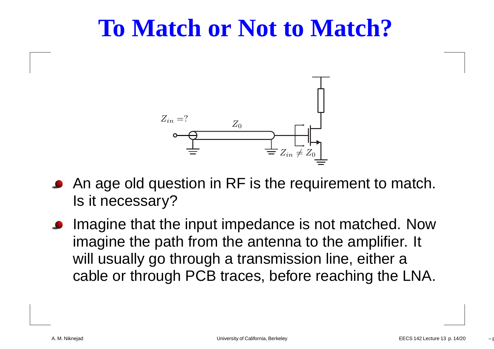#### **To Match or Not to Match?**



- An age old question in RF is the requirement to match. Is it necessary?
- Imagine that the input impedance is not matched. Nowimagine the path from the antenna to the amplifier. It will usually go through a transmission line, either a cable or through PCB traces, before reaching the LNA.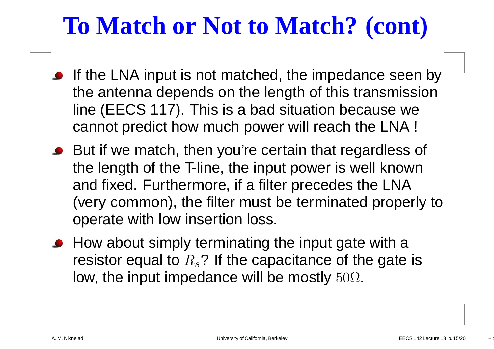# **To Match or Not to Match? (cont)**

- If the LNA input is not matched, the impedance seen by the antenna depends on the length of this transmissionline (EECS 117). This is <sup>a</sup> bad situation because wecannot predict how much power will reach the LNA !
- But if we match, then you're certain that regardless of the length of the T-line, the input power is well knownand fixed. Furthermore, if <sup>a</sup> filter precedes the LNA (very common), the filter must be terminated properly tooperate with low insertion loss.
- How about simply terminating the input gate with a resistor equal to  $R_s$ ? If the capacitance of the gate is low, the input impedance will be mostly  $50\Omega.$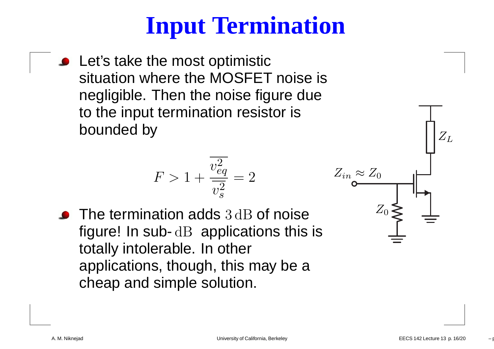# **Input Termination**

**•** Let's take the most optimistic situation where the MOSFET noise is negligible. Then the noise figure dueto the input termination resistor isbounded by

$$
F > 1 + \frac{v_{eq}^2}{v_s^2} = 2
$$

The termination adds 3dB of noise<br>figured le aubudD explications this figure! In sub- dB applications this is totally intolerable. In other applications, though, this may be <sup>a</sup>cheap and simple solution.

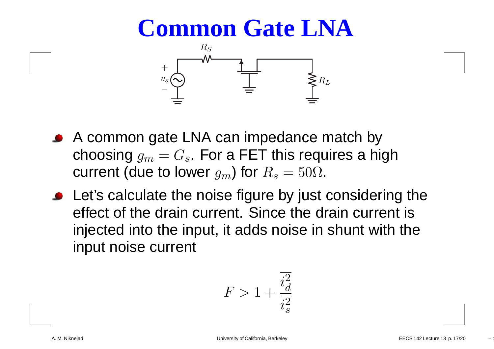#### **Common Gate LNA**



- A common gate LNA can impedance match bychoosing  $g_m=G_s.$  For a FET this requires a high  $\mathbf{I}$ . . . . . . current (due to lower  $g_m$ ) for  $R_s$  $_{s}=50\Omega$ .
- Let's calculate the noise figure by just considering the effect of the drain current. Since the drain current is injected into the input, it adds noise in shunt with theinput noise current

$$
F>1+\frac{\overline{i_d^2}}{\overline{i_s^2}}
$$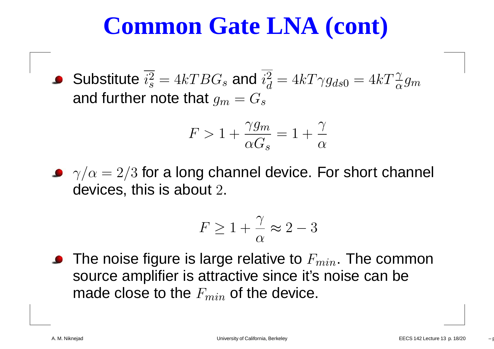#### **Common Gate LNA (cont)**

Substitute  $i^2$ and further note that  $g_m = G_s$  s $\frac{2}{s} = 4kT BG$ s $_s$  and  $i_d^2$  $\,d$  $\frac{2}{d} = 4kT \gamma g_{ds}$ 0 $_0 = 4kT\frac{\gamma}{\alpha}g_m$ 

$$
F > 1 + \frac{\gamma g_m}{\alpha G_s} = 1 + \frac{\gamma}{\alpha}
$$

 $\gamma/\alpha=2/3$  for a long channel device. For short channel devices, this is about  $2.$ 

$$
F \ge 1 + \frac{\gamma}{\alpha} \approx 2 - 3
$$

The noise figure is large relative to  $F_{min}.$  The common source amplifier is attractive since it's noise can bemade close to the  $F_{min}$  of the device.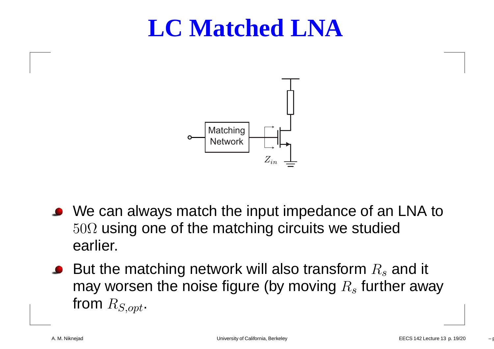#### **LC Matched LNA**



- We can always match the input impedance of an LNA to $50\Omega$  using one of the matching circuits we studied earlier.
- But the matching network will also transform  $R_s$ may worsen the noise figure (by moving  $R_s$  fu  $_s$  and it  $_s$  further away from  $R_{S,opt}.$